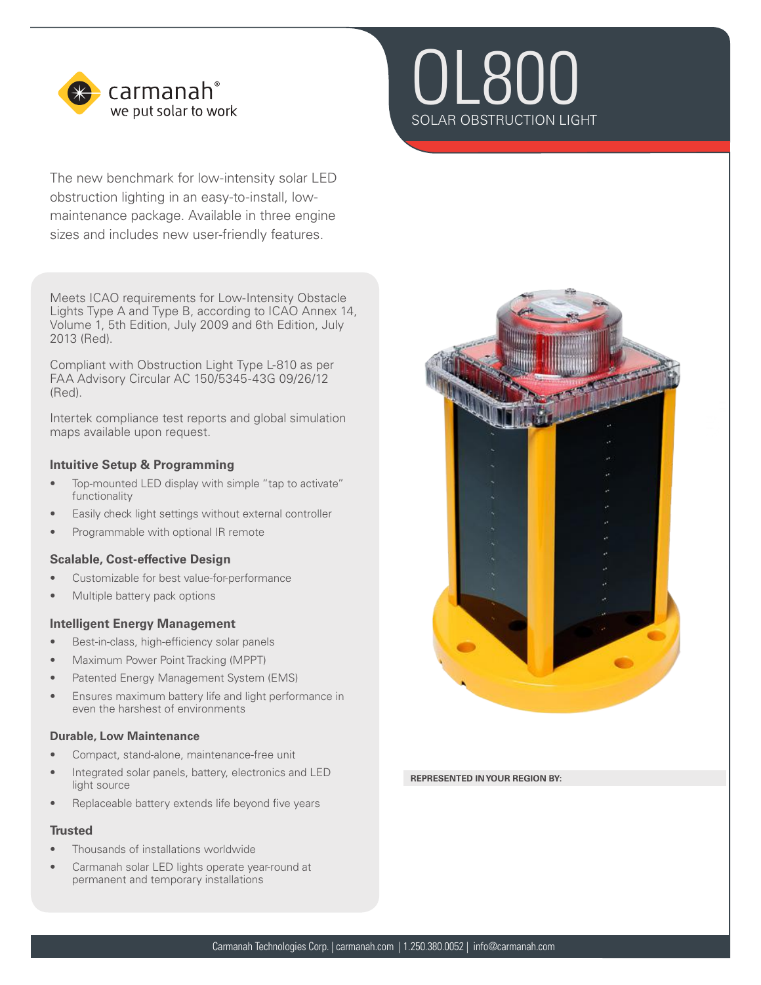

The new benchmark for low-intensity solar LED obstruction lighting in an easy-to-install, lowmaintenance package. Available in three engine sizes and includes new user-friendly features.

Meets ICAO requirements for Low-Intensity Obstacle Lights Type A and Type B, according to ICAO Annex 14, Volume 1, 5th Edition, July 2009 and 6th Edition, July 2013 (Red).

Compliant with Obstruction Light Type L-810 as per FAA Advisory Circular AC 150/5345-43G 09/26/12 (Red).

Intertek compliance test reports and global simulation maps available upon request.

# **Intuitive Setup & Programming**

- Top-mounted LED display with simple "tap to activate" functionality
- Easily check light settings without external controller
- Programmable with optional IR remote

# **Scalable, Cost-effective Design**

- Customizable for best value-for-performance
- Multiple battery pack options

## **Intelligent Energy Management**

- Best-in-class, high-efficiency solar panels
- Maximum Power Point Tracking (MPPT)
- Patented Energy Management System (EMS)
- Ensures maximum battery life and light performance in even the harshest of environments

## **Durable, Low Maintenance**

- Compact, stand-alone, maintenance-free unit
- Integrated solar panels, battery, electronics and LED light source
- Replaceable battery extends life beyond five years

# **Trusted**

- Thousands of installations worldwide
- Carmanah solar LED lights operate year-round at permanent and temporary installations





#### **REPRESENTED IN YOUR REGION BY:**